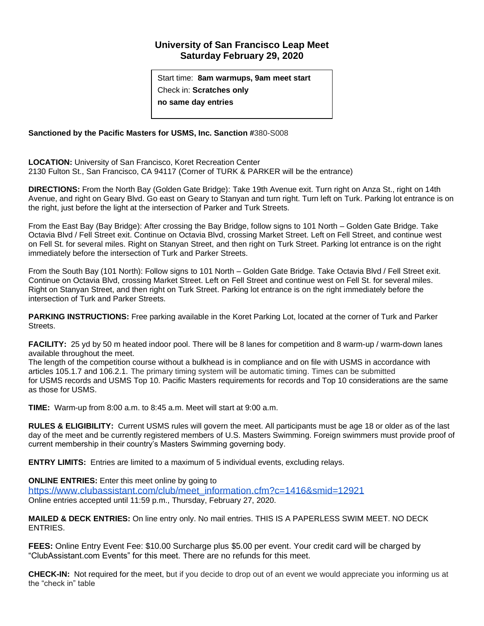## **University of San Francisco Leap Meet Saturday February 29, 2020**

Start time: **8am warmups, 9am meet start** Check in: **Scratches only no same day entries**

## **Sanctioned by the Pacific Masters for USMS, Inc. Sanction #**380-S008

**LOCATION:** University of San Francisco, Koret Recreation Center 2130 Fulton St., San Francisco, CA 94117 (Corner of TURK & PARKER will be the entrance)

**DIRECTIONS:** From the North Bay (Golden Gate Bridge): Take 19th Avenue exit. Turn right on Anza St., right on 14th Avenue, and right on Geary Blvd. Go east on Geary to Stanyan and turn right. Turn left on Turk. Parking lot entrance is on the right, just before the light at the intersection of Parker and Turk Streets.

From the East Bay (Bay Bridge): After crossing the Bay Bridge, follow signs to 101 North – Golden Gate Bridge. Take Octavia Blvd / Fell Street exit. Continue on Octavia Blvd, crossing Market Street. Left on Fell Street, and continue west on Fell St. for several miles. Right on Stanyan Street, and then right on Turk Street. Parking lot entrance is on the right immediately before the intersection of Turk and Parker Streets.

From the South Bay (101 North): Follow signs to 101 North – Golden Gate Bridge. Take Octavia Blvd / Fell Street exit. Continue on Octavia Blvd, crossing Market Street. Left on Fell Street and continue west on Fell St. for several miles. Right on Stanyan Street, and then right on Turk Street. Parking lot entrance is on the right immediately before the intersection of Turk and Parker Streets.

**PARKING INSTRUCTIONS:** Free parking available in the Koret Parking Lot, located at the corner of Turk and Parker Streets.

**FACILITY:** 25 yd by 50 m heated indoor pool. There will be 8 lanes for competition and 8 warm-up / warm-down lanes available throughout the meet.

The length of the competition course without a bulkhead is in compliance and on file with USMS in accordance with articles 105.1.7 and 106.2.1. The primary timing system will be automatic timing. Times can be submitted for USMS records and USMS Top 10. Pacific Masters requirements for records and Top 10 considerations are the same as those for USMS.

**TIME:** Warm-up from 8:00 a.m. to 8:45 a.m. Meet will start at 9:00 a.m.

**RULES & ELIGIBILITY:** Current USMS rules will govern the meet. All participants must be age 18 or older as of the last day of the meet and be currently registered members of U.S. Masters Swimming. Foreign swimmers must provide proof of current membership in their country's Masters Swimming governing body.

**ENTRY LIMITS:** Entries are limited to a maximum of 5 individual events, excluding relays.

**ONLINE ENTRIES:** Enter this meet online by going to

[https://www.clubassistant.com/club/meet\\_information.cfm?c=1416&smid=12921](https://urldefense.proofpoint.com/v2/url?u=https-3A__www.clubassistant.com_club_meet-5Finformation.cfm-3Fc-3D1416-26smid-3D12921&d=DwMFaQ&c=qgVugHHq3rzouXkEXdxBNQ&r=djld-98U_fL9SxtqGPQ_H3eeRjSXPBmfE10uYPzeRg8&m=_QVkzJxAooBIB3Rrgf9CAUilNxdF4hNDRFXAc0ltr6Q&s=v0Pish827VR8BWGD5iAtS8_yCLwRzAsO6Y8d7R1U0ck&e=) Online entries accepted until 11:59 p.m., Thursday, February 27, 2020.

**MAILED & DECK ENTRIES:** On line entry only. No mail entries. THIS IS A PAPERLESS SWIM MEET. NO DECK ENTRIES.

**FEES:** Online Entry Event Fee: \$10.00 Surcharge plus \$5.00 per event. Your credit card will be charged by "ClubAssistant.com Events" for this meet. There are no refunds for this meet.

**CHECK-IN:** Not required for the meet, but if you decide to drop out of an event we would appreciate you informing us at the "check in" table